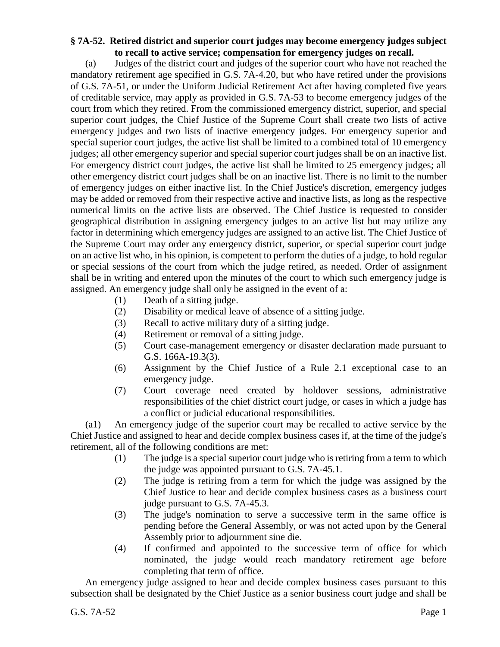## **§ 7A-52. Retired district and superior court judges may become emergency judges subject to recall to active service; compensation for emergency judges on recall.**

(a) Judges of the district court and judges of the superior court who have not reached the mandatory retirement age specified in G.S. 7A-4.20, but who have retired under the provisions of G.S. 7A-51, or under the Uniform Judicial Retirement Act after having completed five years of creditable service, may apply as provided in G.S. 7A-53 to become emergency judges of the court from which they retired. From the commissioned emergency district, superior, and special superior court judges, the Chief Justice of the Supreme Court shall create two lists of active emergency judges and two lists of inactive emergency judges. For emergency superior and special superior court judges, the active list shall be limited to a combined total of 10 emergency judges; all other emergency superior and special superior court judges shall be on an inactive list. For emergency district court judges, the active list shall be limited to 25 emergency judges; all other emergency district court judges shall be on an inactive list. There is no limit to the number of emergency judges on either inactive list. In the Chief Justice's discretion, emergency judges may be added or removed from their respective active and inactive lists, as long as the respective numerical limits on the active lists are observed. The Chief Justice is requested to consider geographical distribution in assigning emergency judges to an active list but may utilize any factor in determining which emergency judges are assigned to an active list. The Chief Justice of the Supreme Court may order any emergency district, superior, or special superior court judge on an active list who, in his opinion, is competent to perform the duties of a judge, to hold regular or special sessions of the court from which the judge retired, as needed. Order of assignment shall be in writing and entered upon the minutes of the court to which such emergency judge is assigned. An emergency judge shall only be assigned in the event of a:

- (1) Death of a sitting judge.
- (2) Disability or medical leave of absence of a sitting judge.
- (3) Recall to active military duty of a sitting judge.
- (4) Retirement or removal of a sitting judge.
- (5) Court case-management emergency or disaster declaration made pursuant to G.S. 166A-19.3(3).
- (6) Assignment by the Chief Justice of a Rule 2.1 exceptional case to an emergency judge.
- (7) Court coverage need created by holdover sessions, administrative responsibilities of the chief district court judge, or cases in which a judge has a conflict or judicial educational responsibilities.

(a1) An emergency judge of the superior court may be recalled to active service by the Chief Justice and assigned to hear and decide complex business cases if, at the time of the judge's retirement, all of the following conditions are met:

- (1) The judge is a special superior court judge who is retiring from a term to which the judge was appointed pursuant to G.S. 7A-45.1.
- (2) The judge is retiring from a term for which the judge was assigned by the Chief Justice to hear and decide complex business cases as a business court judge pursuant to G.S. 7A-45.3.
- (3) The judge's nomination to serve a successive term in the same office is pending before the General Assembly, or was not acted upon by the General Assembly prior to adjournment sine die.
- (4) If confirmed and appointed to the successive term of office for which nominated, the judge would reach mandatory retirement age before completing that term of office.

An emergency judge assigned to hear and decide complex business cases pursuant to this subsection shall be designated by the Chief Justice as a senior business court judge and shall be